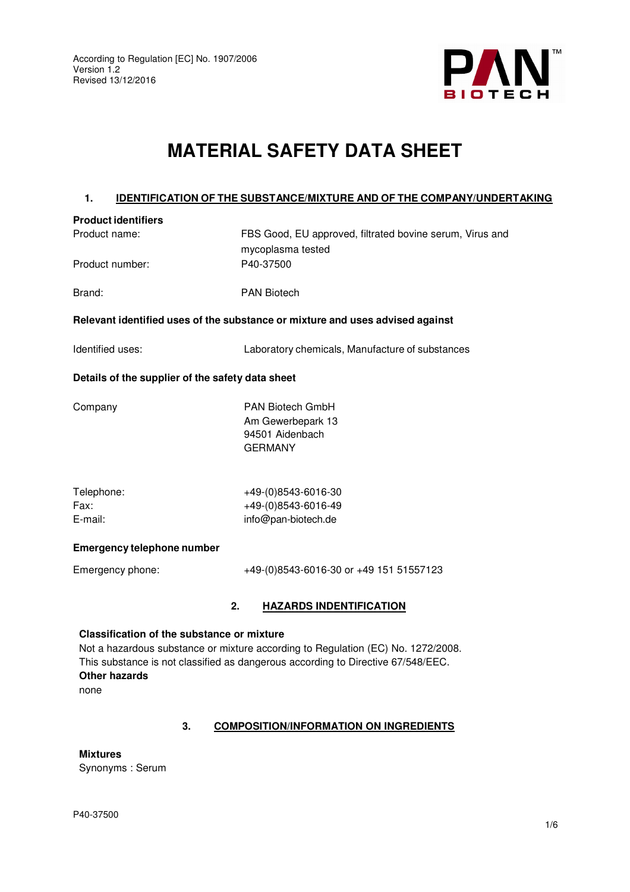

# **MATERIAL SAFETY DATA SHEET**

# **1. IDENTIFICATION OF THE SUBSTANCE/MIXTURE AND OF THE COMPANY/UNDERTAKING**

# **Product identifiers**

| Product name:   | FBS Good, EU approved, filtrated bovine serum, Virus and |
|-----------------|----------------------------------------------------------|
|                 | mycoplasma tested                                        |
| Product number: | P40-37500                                                |

Brand: PAN Biotech

## **Relevant identified uses of the substance or mixture and uses advised against**

| Identified uses: | Laboratory chemicals, Manufacture of substances |
|------------------|-------------------------------------------------|
|                  |                                                 |

# **Details of the supplier of the safety data sheet**

| Company | <b>PAN Biotech GmbH</b> |
|---------|-------------------------|
|         | Am Gewerbepark 13       |
|         | 94501 Aidenbach         |
|         | GERMANY                 |

| Telephone: | +49-(0)8543-6016-30 |
|------------|---------------------|
| Fax:       | +49-(0)8543-6016-49 |
| E-mail:    | info@pan-biotech.de |

# **Emergency telephone number**

| Emergency phone: | +49-(0)8543-6016-30 or +49 151 51557123 |
|------------------|-----------------------------------------|
|                  |                                         |

# **2. HAZARDS INDENTIFICATION**

# **Classification of the substance or mixture**

Not a hazardous substance or mixture according to Regulation (EC) No. 1272/2008. This substance is not classified as dangerous according to Directive 67/548/EEC. **Other hazards** none

# **3. COMPOSITION/INFORMATION ON INGREDIENTS**

#### **Mixtures**

Synonyms : Serum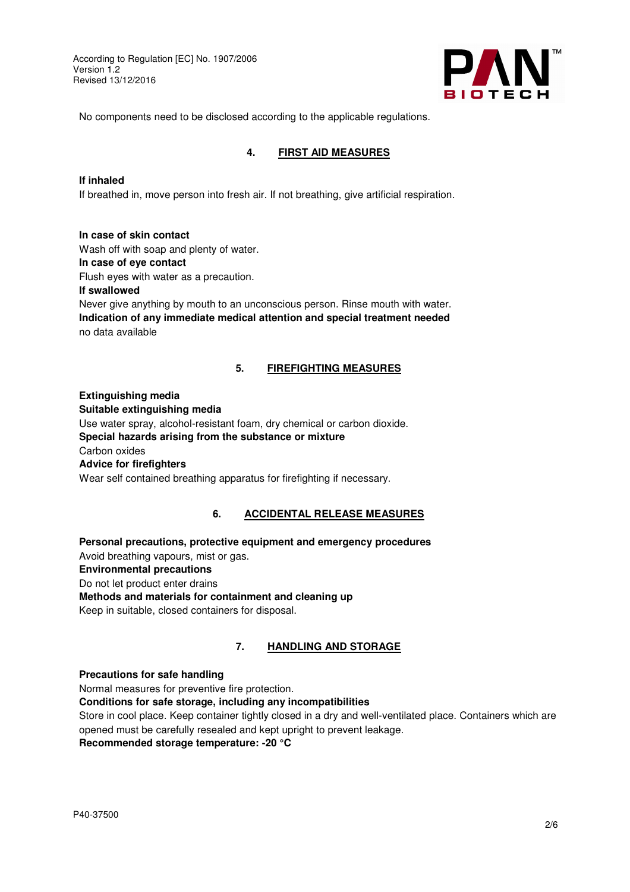

No components need to be disclosed according to the applicable regulations.

# **4. FIRST AID MEASURES**

#### **If inhaled**

If breathed in, move person into fresh air. If not breathing, give artificial respiration.

#### **In case of skin contact**

Wash off with soap and plenty of water.

#### **In case of eye contact**

Flush eyes with water as a precaution.

#### **If swallowed**

Never give anything by mouth to an unconscious person. Rinse mouth with water. **Indication of any immediate medical attention and special treatment needed**  no data available

#### **5. FIREFIGHTING MEASURES**

#### **Extinguishing media**

#### **Suitable extinguishing media**

Use water spray, alcohol-resistant foam, dry chemical or carbon dioxide. **Special hazards arising from the substance or mixture**  Carbon oxides **Advice for firefighters** 

Wear self contained breathing apparatus for firefighting if necessary.

#### **6. ACCIDENTAL RELEASE MEASURES**

**Personal precautions, protective equipment and emergency procedures**  Avoid breathing vapours, mist or gas. **Environmental precautions**  Do not let product enter drains **Methods and materials for containment and cleaning up**  Keep in suitable, closed containers for disposal.

# **7. HANDLING AND STORAGE**

#### **Precautions for safe handling**

Normal measures for preventive fire protection.

**Conditions for safe storage, including any incompatibilities** 

Store in cool place. Keep container tightly closed in a dry and well-ventilated place. Containers which are opened must be carefully resealed and kept upright to prevent leakage.

#### **Recommended storage temperature: -20 °C**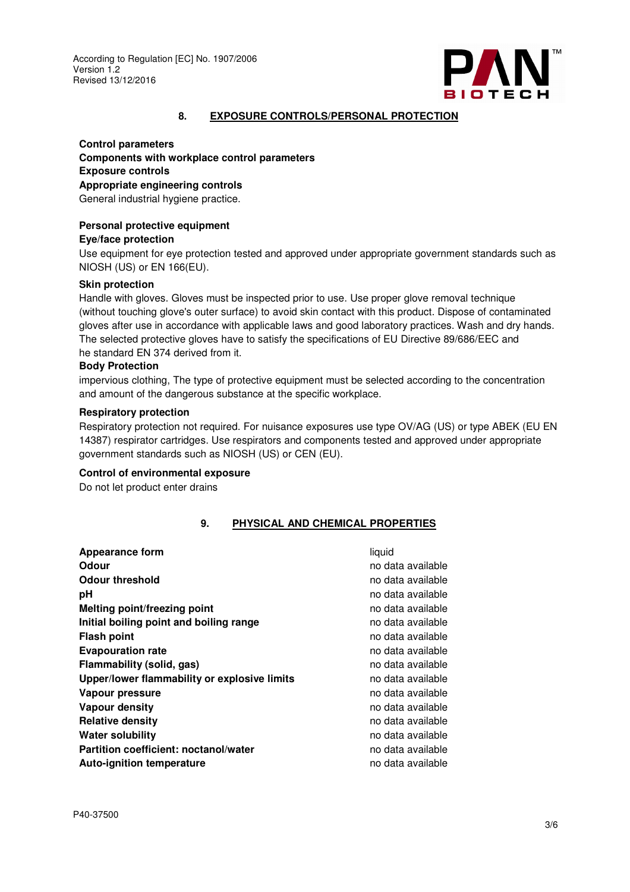

#### **8. EXPOSURE CONTROLS/PERSONAL PROTECTION**

**Control parameters Components with workplace control parameters Exposure controls Appropriate engineering controls** 

General industrial hygiene practice.

# **Personal protective equipment**

#### **Eye/face protection**

Use equipment for eye protection tested and approved under appropriate government standards such as NIOSH (US) or EN 166(EU).

#### **Skin protection**

Handle with gloves. Gloves must be inspected prior to use. Use proper glove removal technique (without touching glove's outer surface) to avoid skin contact with this product. Dispose of contaminated gloves after use in accordance with applicable laws and good laboratory practices. Wash and dry hands. The selected protective gloves have to satisfy the specifications of EU Directive 89/686/EEC and he standard EN 374 derived from it.

#### **Body Protection**

impervious clothing, The type of protective equipment must be selected according to the concentration and amount of the dangerous substance at the specific workplace.

#### **Respiratory protection**

Respiratory protection not required. For nuisance exposures use type OV/AG (US) or type ABEK (EU EN 14387) respirator cartridges. Use respirators and components tested and approved under appropriate government standards such as NIOSH (US) or CEN (EU).

#### **Control of environmental exposure**

Do not let product enter drains

# **9. PHYSICAL AND CHEMICAL PROPERTIES**

| <b>Appearance form</b>                       | liquid            |
|----------------------------------------------|-------------------|
| <b>Odour</b>                                 | no data available |
| <b>Odour threshold</b>                       | no data available |
| рH                                           | no data available |
| Melting point/freezing point                 | no data available |
| Initial boiling point and boiling range      | no data available |
| <b>Flash point</b>                           | no data available |
| <b>Evapouration rate</b>                     | no data available |
| Flammability (solid, gas)                    | no data available |
| Upper/lower flammability or explosive limits | no data available |
| Vapour pressure                              | no data available |
| Vapour density                               | no data available |
| <b>Relative density</b>                      | no data available |
| <b>Water solubility</b>                      | no data available |
| Partition coefficient: noctanol/water        | no data available |
| <b>Auto-ignition temperature</b>             | no data available |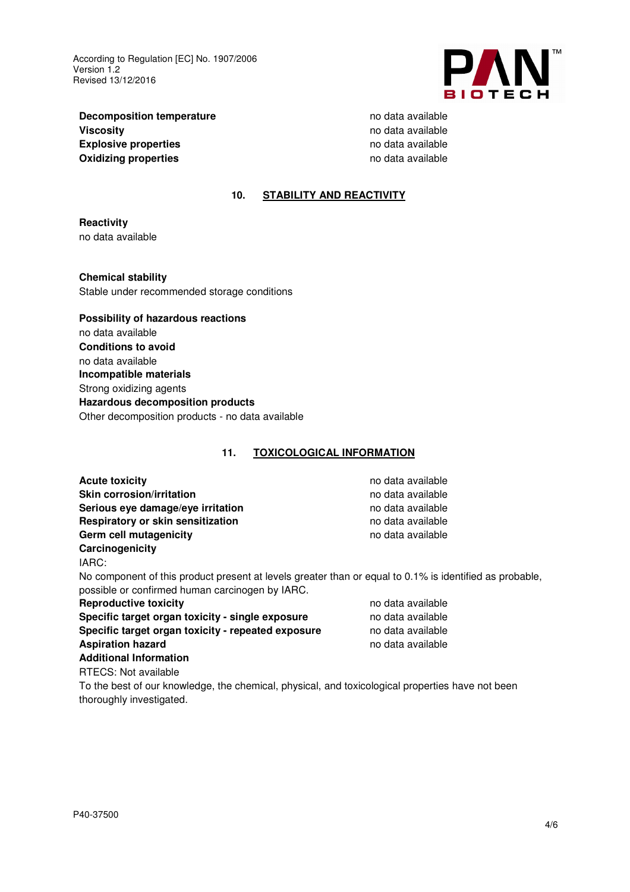

**Decomposition temperature** no data available **Viscosity no data available no data available no data available no data available Explosive properties no data available** no data available **Oxidizing properties no data available** 

# **10. STABILITY AND REACTIVITY**

**Reactivity**  no data available

**Chemical stability**  Stable under recommended storage conditions

# **Possibility of hazardous reactions**  no data available **Conditions to avoid**  no data available **Incompatible materials**  Strong oxidizing agents **Hazardous decomposition products**  Other decomposition products - no data available

#### **11. TOXICOLOGICAL INFORMATION**

| <b>Acute toxicity</b>                                                                                   | no data available |
|---------------------------------------------------------------------------------------------------------|-------------------|
| <b>Skin corrosion/irritation</b>                                                                        | no data available |
| Serious eye damage/eye irritation                                                                       | no data available |
| Respiratory or skin sensitization                                                                       | no data available |
| Germ cell mutagenicity                                                                                  | no data available |
| Carcinogenicity                                                                                         |                   |
| IARC:                                                                                                   |                   |
| No component of this product present at levels greater than or equal to 0.1% is identified as probable, |                   |
| possible or confirmed human carcinogen by IARC.                                                         |                   |
| <b>Reproductive toxicity</b>                                                                            | no data available |

**Specific target organ toxicity - single exposure** no data available **Specific target organ toxicity - repeated exposure** no data available **Aspiration hazard no data available no data available no data available Additional Information** 

RTECS: Not available

To the best of our knowledge, the chemical, physical, and toxicological properties have not been thoroughly investigated.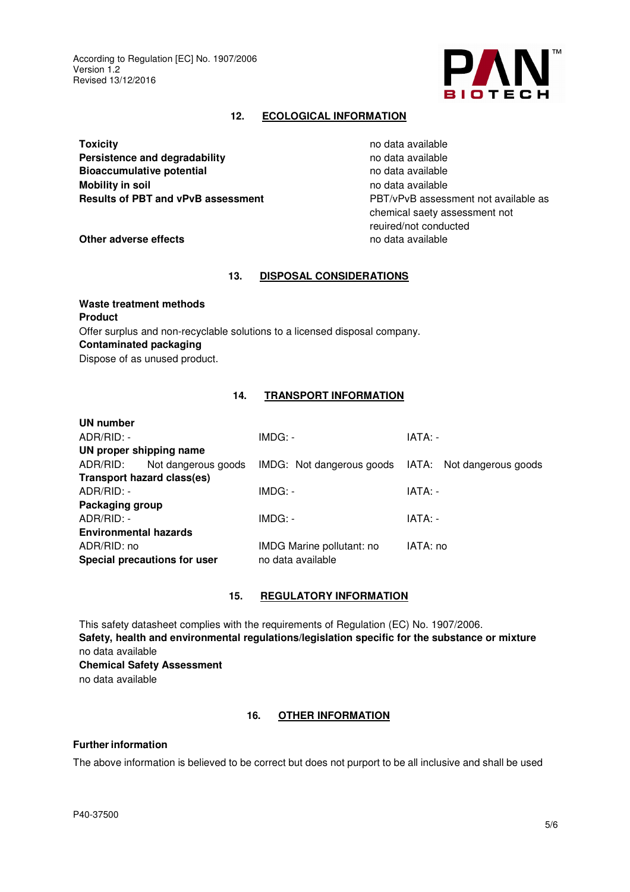

#### **12. ECOLOGICAL INFORMATION**

**Toxicity no data available Persistence and degradability no data available no data available Bioaccumulative potential and available** no data available **Mobility in soil no data available Results of PBT and vPvB assessment PBT/vPvB** assessment not available as

chemical saety assessment not reuired/not conducted

**Other adverse effects no data available no data available** 

#### **13. DISPOSAL CONSIDERATIONS**

**Waste treatment methods Product**  Offer surplus and non-recyclable solutions to a licensed disposal company. **Contaminated packaging**  Dispose of as unused product.

#### **14. TRANSPORT INFORMATION**

| UN number                    |                              |                           |                           |
|------------------------------|------------------------------|---------------------------|---------------------------|
| $ADR/RID: -$                 |                              | $IMDG: -$                 | IATA: -                   |
| UN proper shipping name      |                              |                           |                           |
| ADR/RID:                     | Not dangerous goods          | IMDG: Not dangerous goods | IATA: Not dangerous goods |
|                              | Transport hazard class(es)   |                           |                           |
| $ADR/RID: -$                 |                              | $IMDG: -$                 | IATA: -                   |
| Packaging group              |                              |                           |                           |
| $ADR/RID: -$                 |                              | $IMDG: -$                 | IATA: -                   |
| <b>Environmental hazards</b> |                              |                           |                           |
| ADR/RID: no                  |                              | IMDG Marine pollutant: no | IATA: no                  |
|                              | Special precautions for user | no data available         |                           |
|                              |                              |                           |                           |

### **15. REGULATORY INFORMATION**

This safety datasheet complies with the requirements of Regulation (EC) No. 1907/2006. **Safety, health and environmental regulations/legislation specific for the substance or mixture**  no data available **Chemical Safety Assessment**  no data available

#### **16. OTHER INFORMATION**

#### **Further information**

The above information is believed to be correct but does not purport to be all inclusive and shall be used